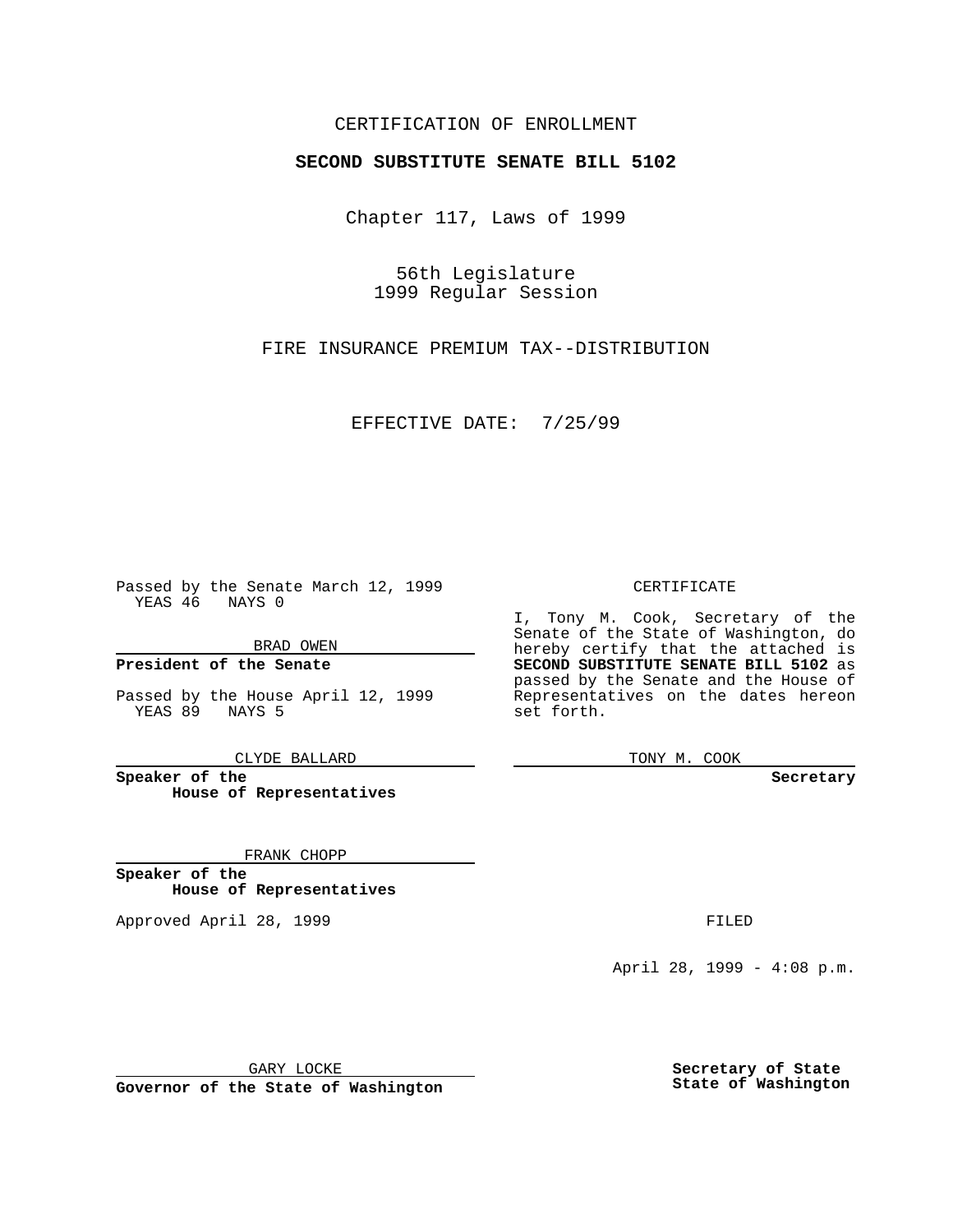### CERTIFICATION OF ENROLLMENT

# **SECOND SUBSTITUTE SENATE BILL 5102**

Chapter 117, Laws of 1999

56th Legislature 1999 Regular Session

FIRE INSURANCE PREMIUM TAX--DISTRIBUTION

EFFECTIVE DATE: 7/25/99

Passed by the Senate March 12, 1999 YEAS 46 NAYS 0

BRAD OWEN

**President of the Senate**

Passed by the House April 12, 1999 YEAS 89 NAYS 5

CLYDE BALLARD

**Speaker of the House of Representatives**

FRANK CHOPP

**Speaker of the House of Representatives**

Approved April 28, 1999 **FILED** 

#### CERTIFICATE

I, Tony M. Cook, Secretary of the Senate of the State of Washington, do hereby certify that the attached is **SECOND SUBSTITUTE SENATE BILL 5102** as passed by the Senate and the House of Representatives on the dates hereon set forth.

TONY M. COOK

**Secretary**

April 28, 1999 - 4:08 p.m.

GARY LOCKE

**Governor of the State of Washington**

**Secretary of State State of Washington**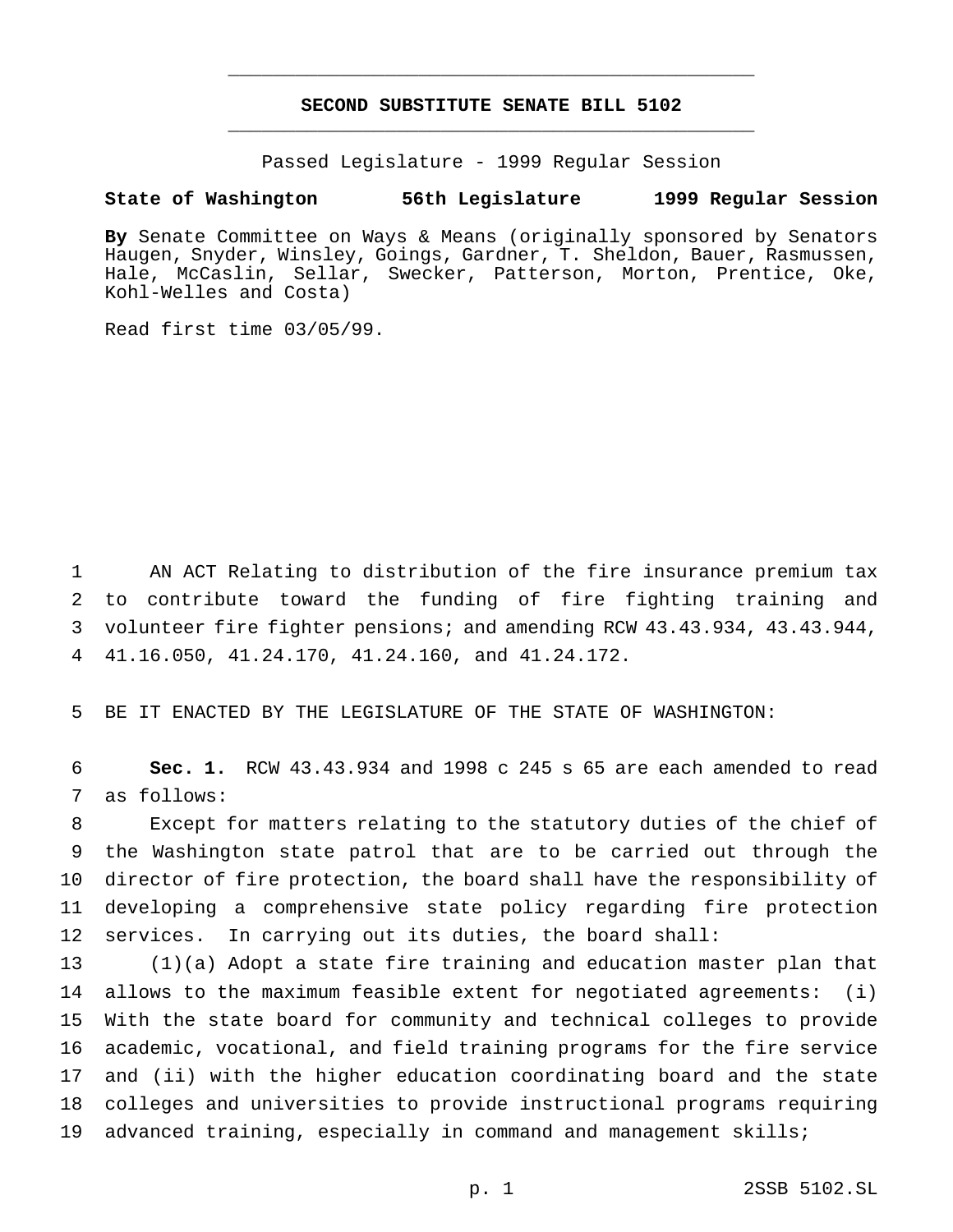## **SECOND SUBSTITUTE SENATE BILL 5102** \_\_\_\_\_\_\_\_\_\_\_\_\_\_\_\_\_\_\_\_\_\_\_\_\_\_\_\_\_\_\_\_\_\_\_\_\_\_\_\_\_\_\_\_\_\_\_

\_\_\_\_\_\_\_\_\_\_\_\_\_\_\_\_\_\_\_\_\_\_\_\_\_\_\_\_\_\_\_\_\_\_\_\_\_\_\_\_\_\_\_\_\_\_\_

Passed Legislature - 1999 Regular Session

### **State of Washington 56th Legislature 1999 Regular Session**

**By** Senate Committee on Ways & Means (originally sponsored by Senators Haugen, Snyder, Winsley, Goings, Gardner, T. Sheldon, Bauer, Rasmussen, Hale, McCaslin, Sellar, Swecker, Patterson, Morton, Prentice, Oke, Kohl-Welles and Costa)

Read first time 03/05/99.

 AN ACT Relating to distribution of the fire insurance premium tax to contribute toward the funding of fire fighting training and volunteer fire fighter pensions; and amending RCW 43.43.934, 43.43.944, 41.16.050, 41.24.170, 41.24.160, and 41.24.172.

BE IT ENACTED BY THE LEGISLATURE OF THE STATE OF WASHINGTON:

 **Sec. 1.** RCW 43.43.934 and 1998 c 245 s 65 are each amended to read as follows:

 Except for matters relating to the statutory duties of the chief of the Washington state patrol that are to be carried out through the director of fire protection, the board shall have the responsibility of developing a comprehensive state policy regarding fire protection services. In carrying out its duties, the board shall:

 (1)(a) Adopt a state fire training and education master plan that allows to the maximum feasible extent for negotiated agreements: (i) With the state board for community and technical colleges to provide academic, vocational, and field training programs for the fire service and (ii) with the higher education coordinating board and the state colleges and universities to provide instructional programs requiring advanced training, especially in command and management skills;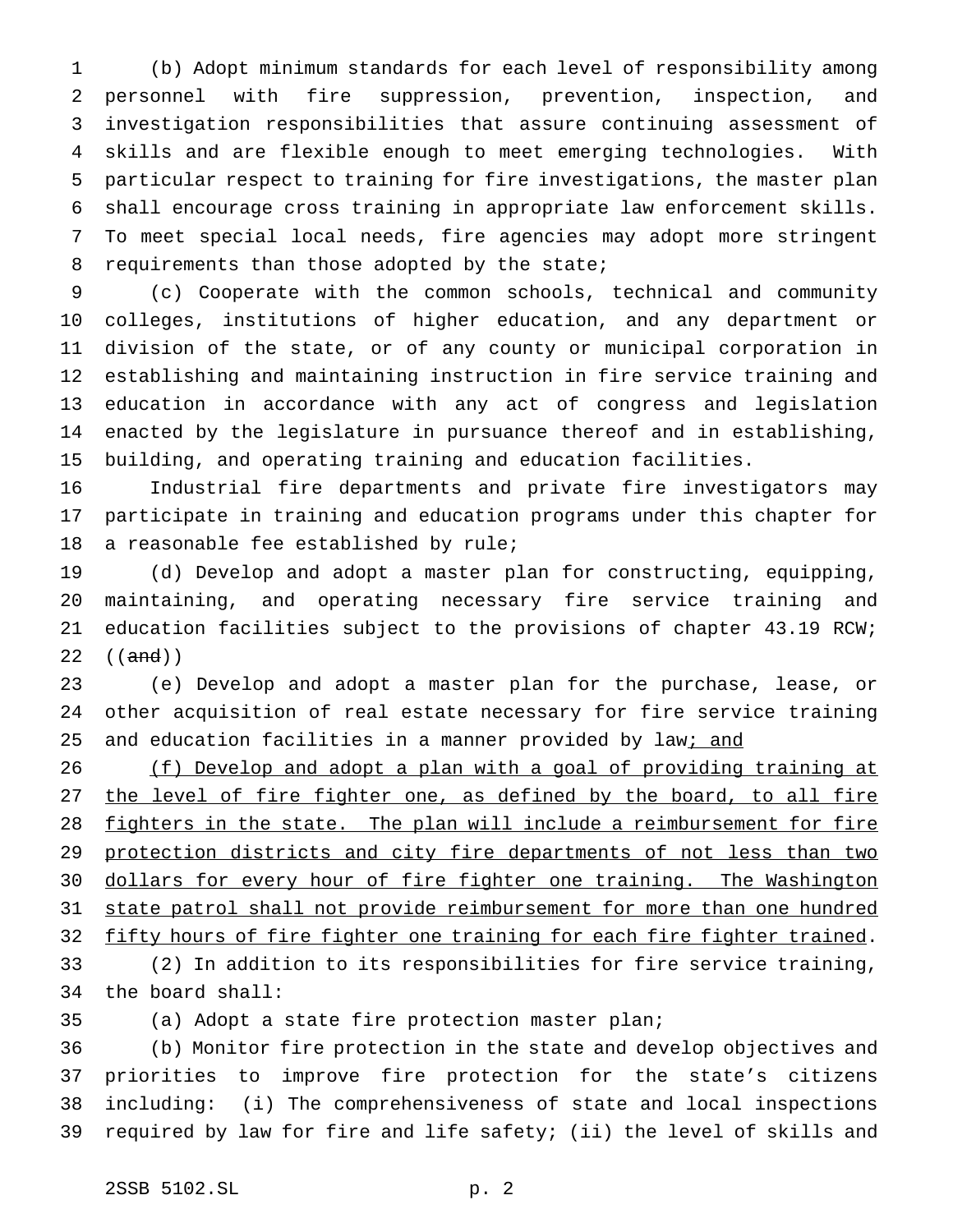(b) Adopt minimum standards for each level of responsibility among personnel with fire suppression, prevention, inspection, and investigation responsibilities that assure continuing assessment of skills and are flexible enough to meet emerging technologies. With particular respect to training for fire investigations, the master plan shall encourage cross training in appropriate law enforcement skills. To meet special local needs, fire agencies may adopt more stringent 8 requirements than those adopted by the state;

 (c) Cooperate with the common schools, technical and community colleges, institutions of higher education, and any department or division of the state, or of any county or municipal corporation in establishing and maintaining instruction in fire service training and education in accordance with any act of congress and legislation enacted by the legislature in pursuance thereof and in establishing, building, and operating training and education facilities.

 Industrial fire departments and private fire investigators may participate in training and education programs under this chapter for a reasonable fee established by rule;

 (d) Develop and adopt a master plan for constructing, equipping, maintaining, and operating necessary fire service training and education facilities subject to the provisions of chapter 43.19 RCW;  $((and))$ 

 (e) Develop and adopt a master plan for the purchase, lease, or other acquisition of real estate necessary for fire service training 25 and education facilities in a manner provided by law<sub>i</sub> and

26 (f) Develop and adopt a plan with a goal of providing training at 27 the level of fire fighter one, as defined by the board, to all fire 28 fighters in the state. The plan will include a reimbursement for fire 29 protection districts and city fire departments of not less than two 30 dollars for every hour of fire fighter one training. The Washington 31 state patrol shall not provide reimbursement for more than one hundred 32 fifty hours of fire fighter one training for each fire fighter trained. (2) In addition to its responsibilities for fire service training, the board shall:

(a) Adopt a state fire protection master plan;

 (b) Monitor fire protection in the state and develop objectives and priorities to improve fire protection for the state's citizens including: (i) The comprehensiveness of state and local inspections required by law for fire and life safety; (ii) the level of skills and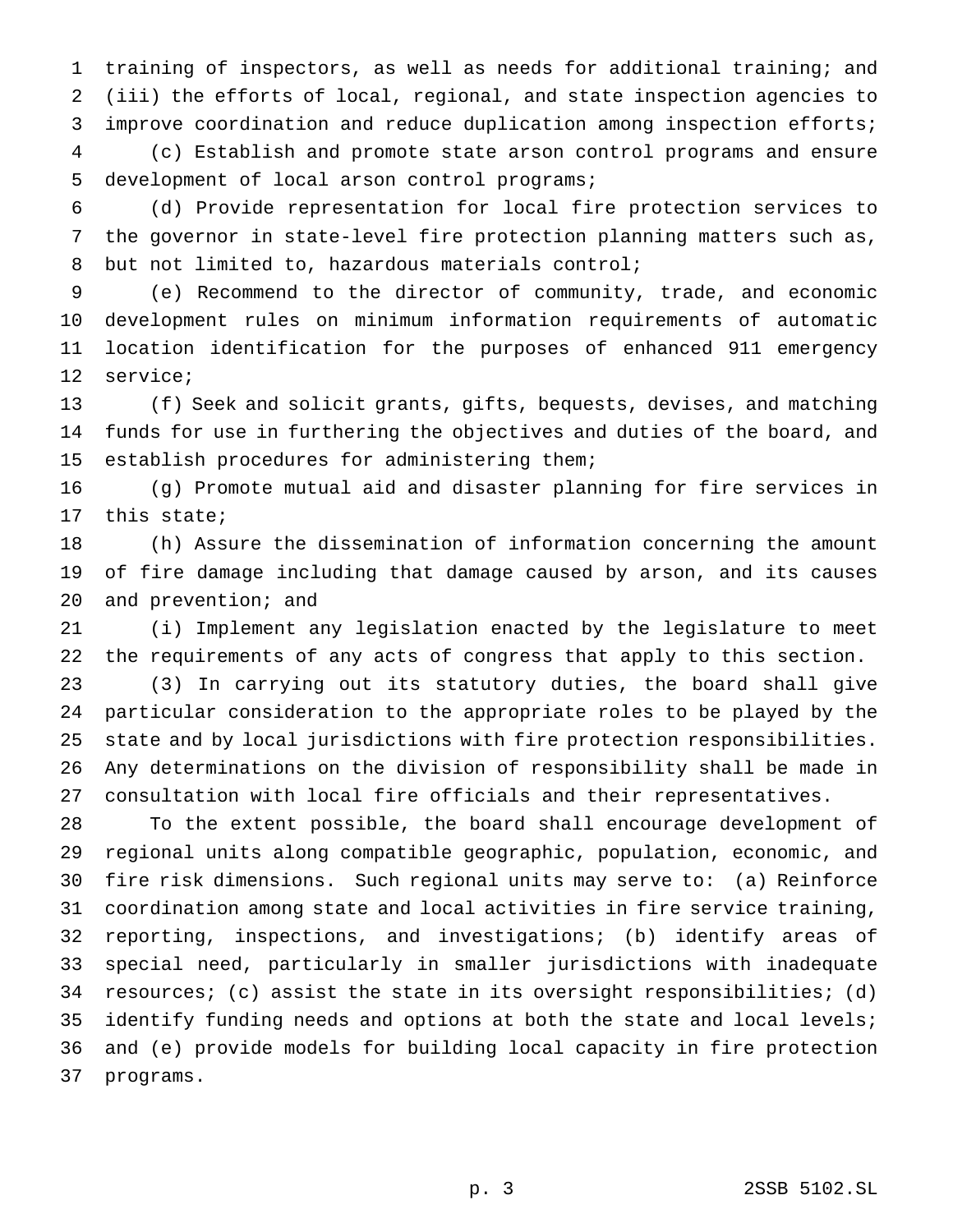training of inspectors, as well as needs for additional training; and (iii) the efforts of local, regional, and state inspection agencies to improve coordination and reduce duplication among inspection efforts;

 (c) Establish and promote state arson control programs and ensure development of local arson control programs;

 (d) Provide representation for local fire protection services to the governor in state-level fire protection planning matters such as, but not limited to, hazardous materials control;

 (e) Recommend to the director of community, trade, and economic development rules on minimum information requirements of automatic location identification for the purposes of enhanced 911 emergency service;

 (f) Seek and solicit grants, gifts, bequests, devises, and matching funds for use in furthering the objectives and duties of the board, and establish procedures for administering them;

 (g) Promote mutual aid and disaster planning for fire services in this state;

 (h) Assure the dissemination of information concerning the amount of fire damage including that damage caused by arson, and its causes and prevention; and

 (i) Implement any legislation enacted by the legislature to meet the requirements of any acts of congress that apply to this section.

 (3) In carrying out its statutory duties, the board shall give particular consideration to the appropriate roles to be played by the state and by local jurisdictions with fire protection responsibilities. Any determinations on the division of responsibility shall be made in consultation with local fire officials and their representatives.

 To the extent possible, the board shall encourage development of regional units along compatible geographic, population, economic, and fire risk dimensions. Such regional units may serve to: (a) Reinforce coordination among state and local activities in fire service training, reporting, inspections, and investigations; (b) identify areas of special need, particularly in smaller jurisdictions with inadequate resources; (c) assist the state in its oversight responsibilities; (d) identify funding needs and options at both the state and local levels; and (e) provide models for building local capacity in fire protection programs.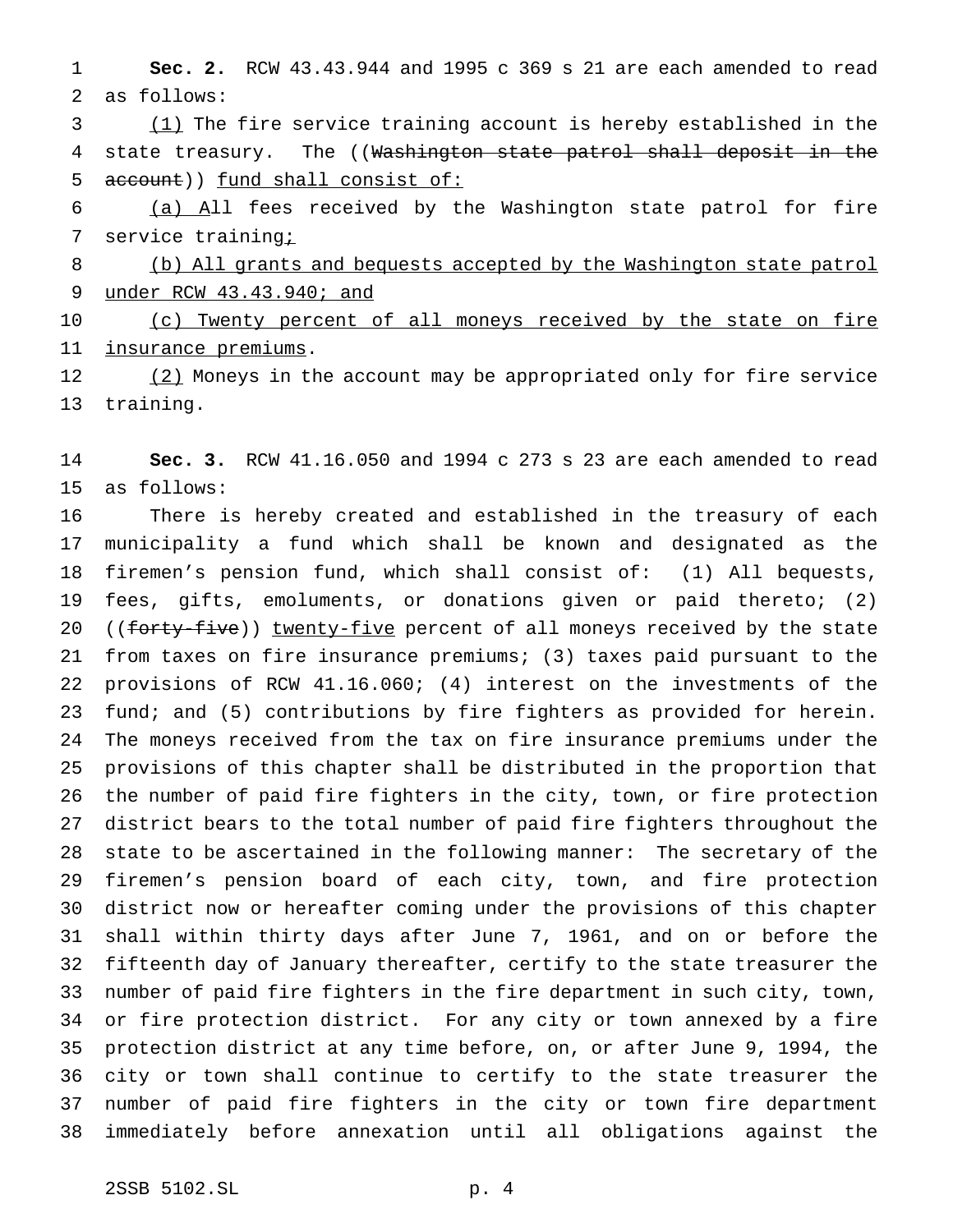**Sec. 2.** RCW 43.43.944 and 1995 c 369 s 21 are each amended to read as follows:

 (1) The fire service training account is hereby established in the 4 state treasury. The ((Washington state patrol shall deposit in the 5 account)) fund shall consist of:

 (a) All fees received by the Washington state patrol for fire 7 service training<sub>i</sub>

 (b) All grants and bequests accepted by the Washington state patrol under RCW 43.43.940; and

10 (c) Twenty percent of all moneys received by the state on fire insurance premiums.

12 (2) Moneys in the account may be appropriated only for fire service training.

 **Sec. 3.** RCW 41.16.050 and 1994 c 273 s 23 are each amended to read as follows:

 There is hereby created and established in the treasury of each municipality a fund which shall be known and designated as the firemen's pension fund, which shall consist of: (1) All bequests, fees, gifts, emoluments, or donations given or paid thereto; (2) 20 ((forty-five)) twenty-five percent of all moneys received by the state from taxes on fire insurance premiums; (3) taxes paid pursuant to the provisions of RCW 41.16.060; (4) interest on the investments of the fund; and (5) contributions by fire fighters as provided for herein. The moneys received from the tax on fire insurance premiums under the provisions of this chapter shall be distributed in the proportion that the number of paid fire fighters in the city, town, or fire protection district bears to the total number of paid fire fighters throughout the state to be ascertained in the following manner: The secretary of the firemen's pension board of each city, town, and fire protection district now or hereafter coming under the provisions of this chapter shall within thirty days after June 7, 1961, and on or before the fifteenth day of January thereafter, certify to the state treasurer the number of paid fire fighters in the fire department in such city, town, or fire protection district. For any city or town annexed by a fire protection district at any time before, on, or after June 9, 1994, the city or town shall continue to certify to the state treasurer the number of paid fire fighters in the city or town fire department immediately before annexation until all obligations against the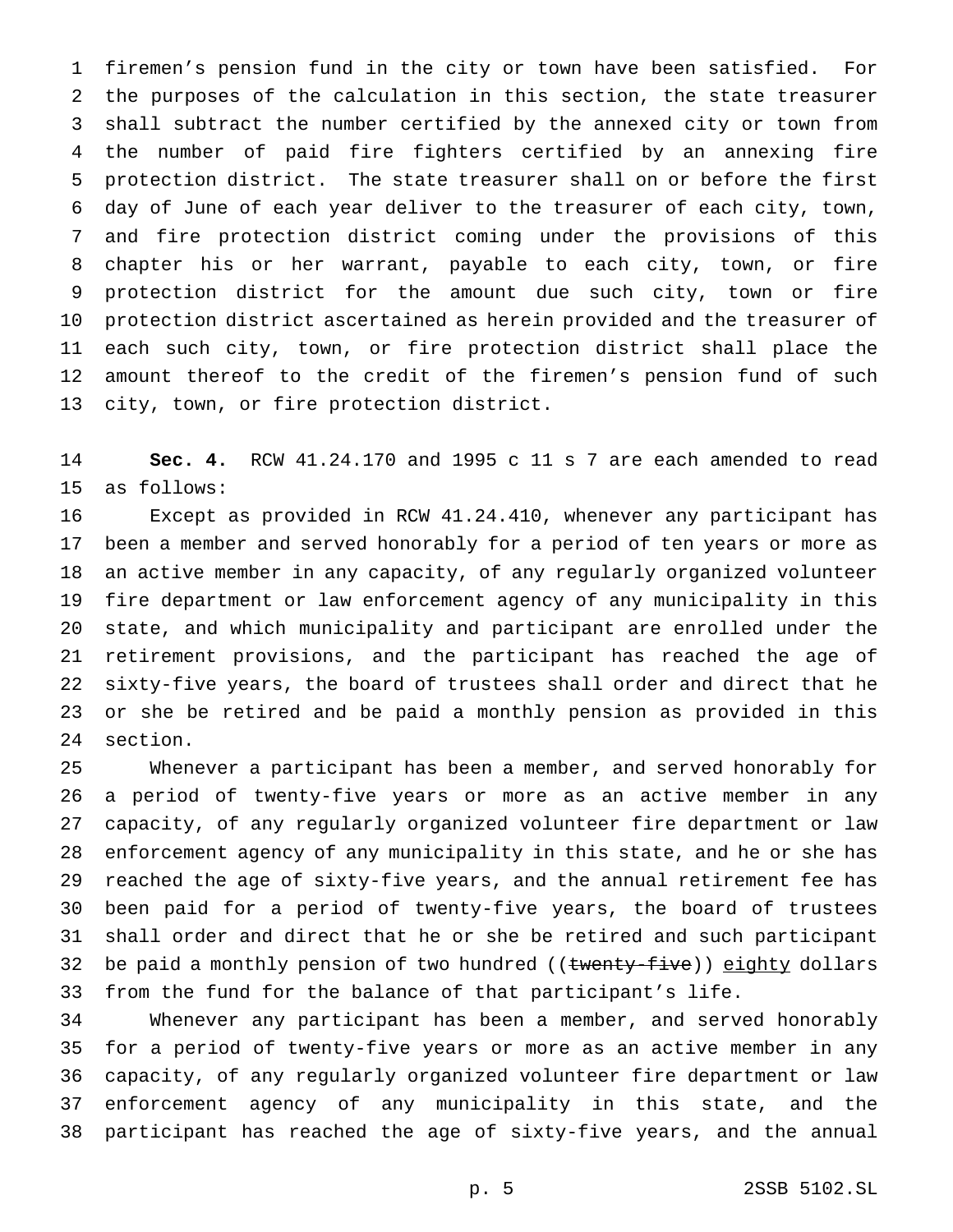firemen's pension fund in the city or town have been satisfied. For the purposes of the calculation in this section, the state treasurer shall subtract the number certified by the annexed city or town from the number of paid fire fighters certified by an annexing fire protection district. The state treasurer shall on or before the first day of June of each year deliver to the treasurer of each city, town, and fire protection district coming under the provisions of this chapter his or her warrant, payable to each city, town, or fire protection district for the amount due such city, town or fire protection district ascertained as herein provided and the treasurer of each such city, town, or fire protection district shall place the amount thereof to the credit of the firemen's pension fund of such city, town, or fire protection district.

 **Sec. 4.** RCW 41.24.170 and 1995 c 11 s 7 are each amended to read as follows:

 Except as provided in RCW 41.24.410, whenever any participant has been a member and served honorably for a period of ten years or more as an active member in any capacity, of any regularly organized volunteer fire department or law enforcement agency of any municipality in this state, and which municipality and participant are enrolled under the retirement provisions, and the participant has reached the age of sixty-five years, the board of trustees shall order and direct that he or she be retired and be paid a monthly pension as provided in this section.

 Whenever a participant has been a member, and served honorably for a period of twenty-five years or more as an active member in any capacity, of any regularly organized volunteer fire department or law enforcement agency of any municipality in this state, and he or she has reached the age of sixty-five years, and the annual retirement fee has been paid for a period of twenty-five years, the board of trustees shall order and direct that he or she be retired and such participant 32 be paid a monthly pension of two hundred ((twenty-five)) eighty dollars from the fund for the balance of that participant's life.

 Whenever any participant has been a member, and served honorably for a period of twenty-five years or more as an active member in any capacity, of any regularly organized volunteer fire department or law enforcement agency of any municipality in this state, and the participant has reached the age of sixty-five years, and the annual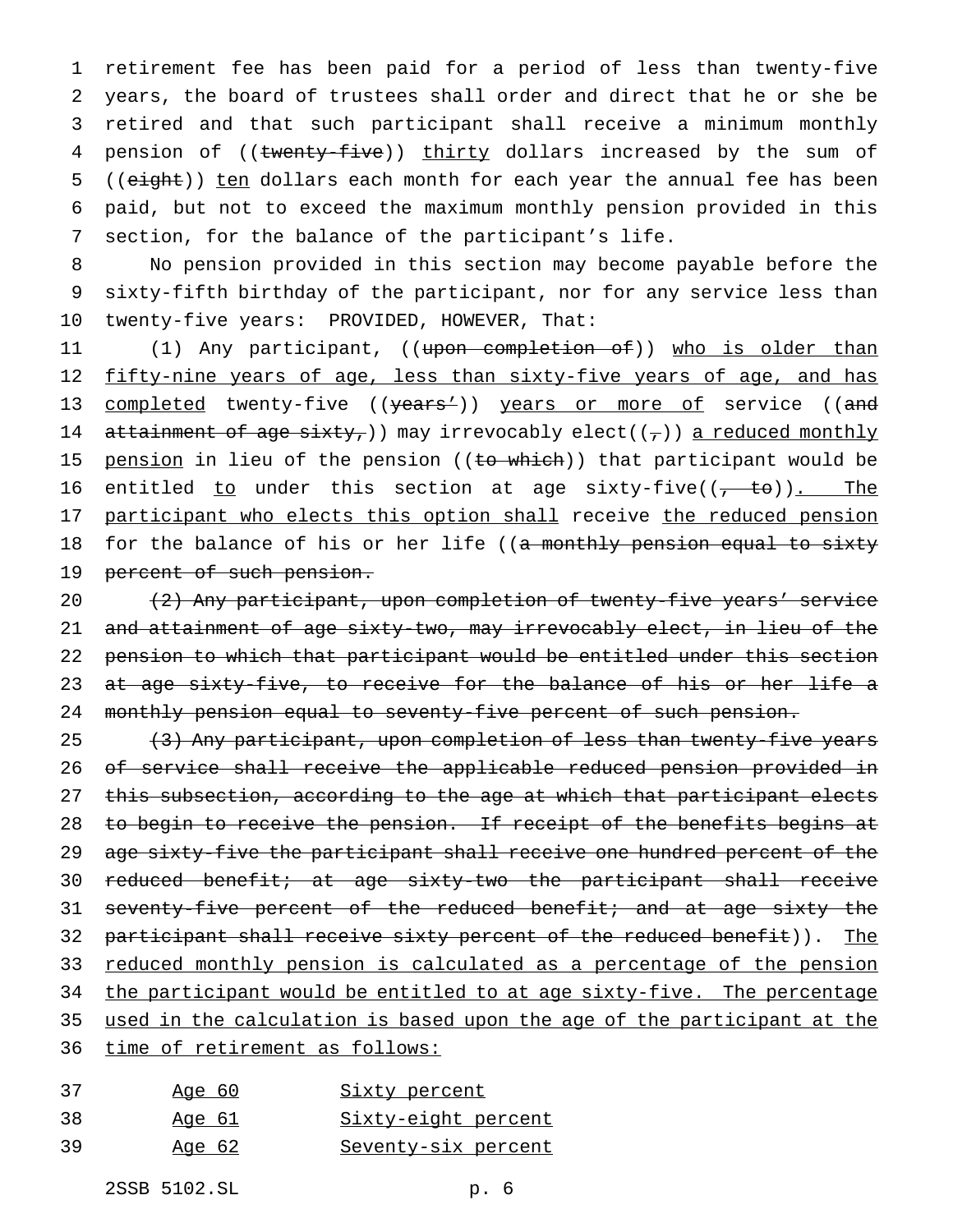retirement fee has been paid for a period of less than twenty-five years, the board of trustees shall order and direct that he or she be retired and that such participant shall receive a minimum monthly 4 pension of ((twenty-five)) thirty dollars increased by the sum of 5 ((eight)) ten dollars each month for each year the annual fee has been paid, but not to exceed the maximum monthly pension provided in this section, for the balance of the participant's life.

8 No pension provided in this section may become payable before the 9 sixty-fifth birthday of the participant, nor for any service less than 10 twenty-five years: PROVIDED, HOWEVER, That:

11 (1) Any participant, ((upon completion of)) who is older than 12 fifty-nine years of age, less than sixty-five years of age, and has 13 completed twenty-five ((years')) years or more of service ((and 14 attainment of age sixty, ) may irrevocably elect( $(\tau)$ ) a reduced monthly 15 pension in lieu of the pension ((to which)) that participant would be 16 entitled to under this section at age sixty-five( $(-t + \epsilon)$ ). The 17 participant who elects this option shall receive the reduced pension 18 for the balance of his or her life ((a monthly pension equal to sixty 19 percent of such pension.

20 (2) Any participant, upon completion of twenty-five years' service 21 and attainment of age sixty-two, may irrevocably elect, in lieu of the 22 pension to which that participant would be entitled under this section 23 at age sixty-five, to receive for the balance of his or her life a 24 monthly pension equal to seventy-five percent of such pension.

25 (3) Any participant, upon completion of less than twenty-five years 26 of service shall receive the applicable reduced pension provided in 27 this subsection, according to the age at which that participant elects 28 to begin to receive the pension. If receipt of the benefits begins at 29 age sixty-five the participant shall receive one hundred percent of the 30 reduced benefit; at age sixty-two the participant shall receive 31 seventy-five percent of the reduced benefit; and at age sixty the 32 participant shall receive sixty percent of the reduced benefit)). The 33 reduced monthly pension is calculated as a percentage of the pension 34 the participant would be entitled to at age sixty-five. The percentage 35 used in the calculation is based upon the age of the participant at the 36 time of retirement as follows:

| 37 | <u>Age 60</u> | <u>Sixty percent</u>       |
|----|---------------|----------------------------|
| 38 | Age 61        | <u>Sixty-eight percent</u> |
| 39 | <u>Age 62</u> | <u>Seventy-six percent</u> |

2SSB 5102.SL p. 6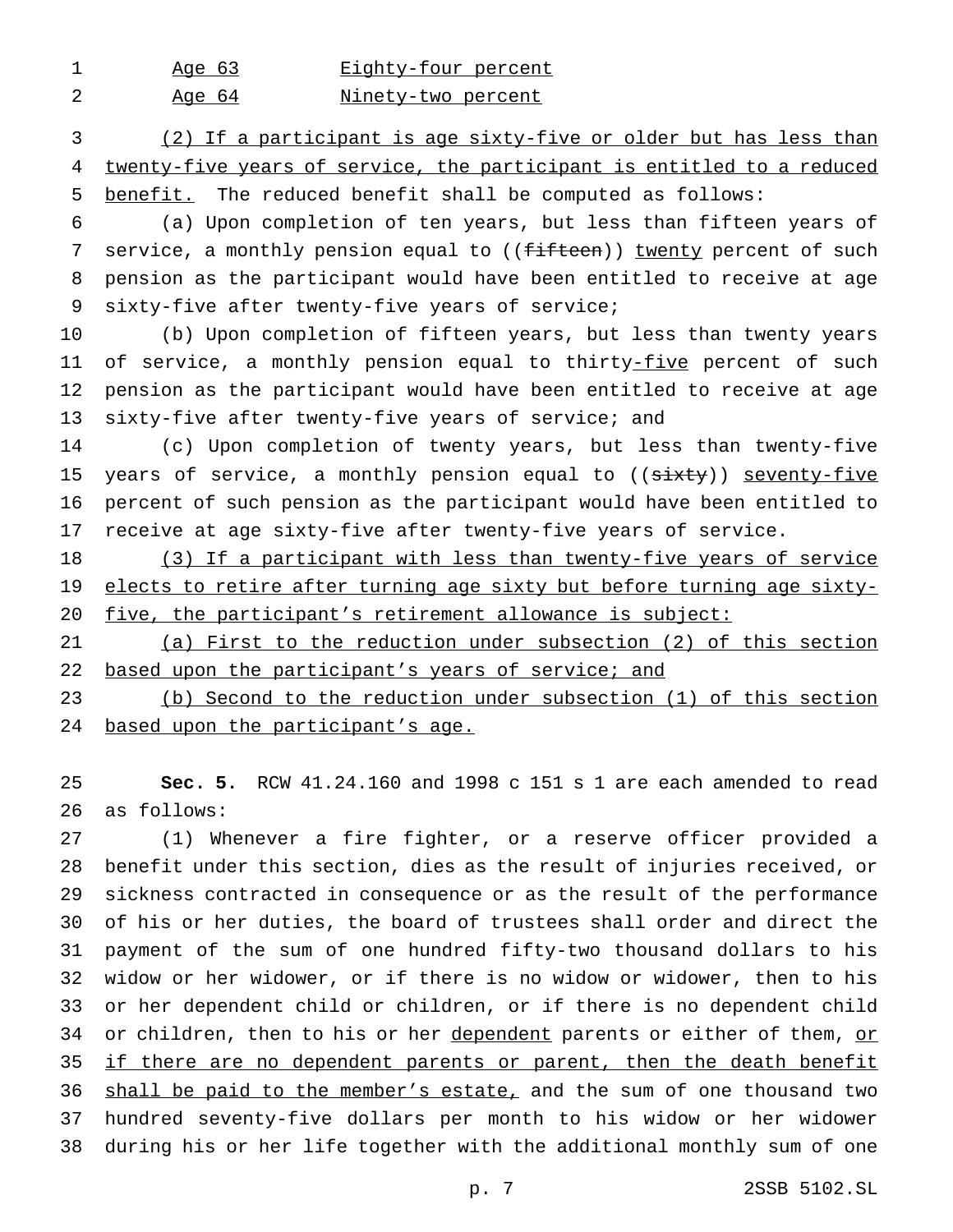1 Age 63 Eighty-four percent

2 Age 64 Minety-two percent

 (2) If a participant is age sixty-five or older but has less than twenty-five years of service, the participant is entitled to a reduced benefit. The reduced benefit shall be computed as follows:

 (a) Upon completion of ten years, but less than fifteen years of 7 service, a monthly pension equal to ((fifteen)) twenty percent of such pension as the participant would have been entitled to receive at age sixty-five after twenty-five years of service;

 (b) Upon completion of fifteen years, but less than twenty years 11 of service, a monthly pension equal to thirty-five percent of such pension as the participant would have been entitled to receive at age 13 sixty-five after twenty-five years of service; and

 (c) Upon completion of twenty years, but less than twenty-five 15 years of service, a monthly pension equal to ((sixty)) seventy-five percent of such pension as the participant would have been entitled to receive at age sixty-five after twenty-five years of service.

18 (3) If a participant with less than twenty-five years of service 19 elects to retire after turning age sixty but before turning age sixty-20 five, the participant's retirement allowance is subject:

 (a) First to the reduction under subsection (2) of this section 22 based upon the participant's years of service; and

 (b) Second to the reduction under subsection (1) of this section 24 based upon the participant's age.

 **Sec. 5.** RCW 41.24.160 and 1998 c 151 s 1 are each amended to read as follows:

 (1) Whenever a fire fighter, or a reserve officer provided a benefit under this section, dies as the result of injuries received, or sickness contracted in consequence or as the result of the performance of his or her duties, the board of trustees shall order and direct the payment of the sum of one hundred fifty-two thousand dollars to his widow or her widower, or if there is no widow or widower, then to his or her dependent child or children, or if there is no dependent child 34 or children, then to his or her dependent parents or either of them, or if there are no dependent parents or parent, then the death benefit shall be paid to the member's estate, and the sum of one thousand two hundred seventy-five dollars per month to his widow or her widower during his or her life together with the additional monthly sum of one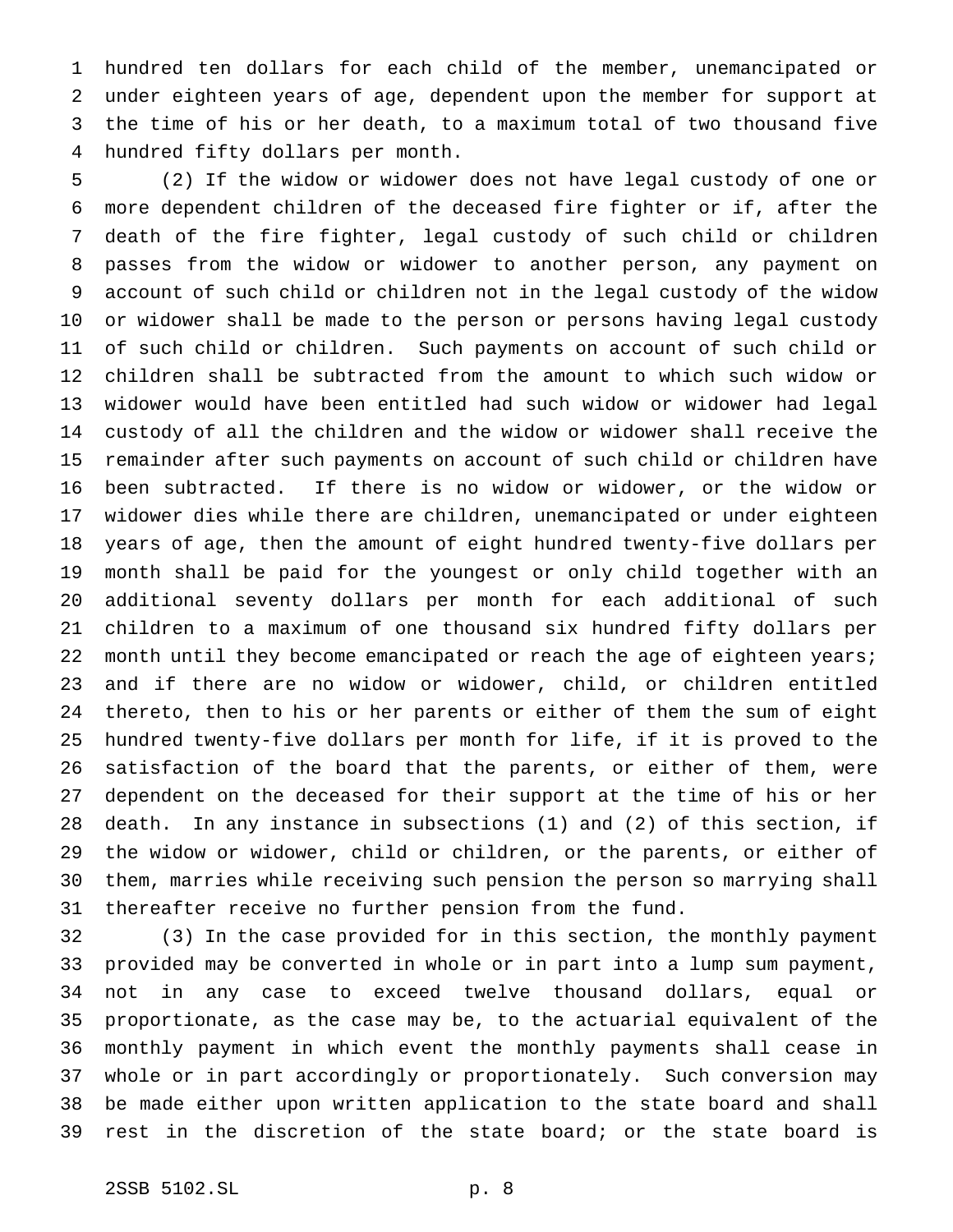hundred ten dollars for each child of the member, unemancipated or under eighteen years of age, dependent upon the member for support at the time of his or her death, to a maximum total of two thousand five hundred fifty dollars per month.

 (2) If the widow or widower does not have legal custody of one or more dependent children of the deceased fire fighter or if, after the death of the fire fighter, legal custody of such child or children passes from the widow or widower to another person, any payment on account of such child or children not in the legal custody of the widow or widower shall be made to the person or persons having legal custody of such child or children. Such payments on account of such child or children shall be subtracted from the amount to which such widow or widower would have been entitled had such widow or widower had legal custody of all the children and the widow or widower shall receive the remainder after such payments on account of such child or children have been subtracted. If there is no widow or widower, or the widow or widower dies while there are children, unemancipated or under eighteen years of age, then the amount of eight hundred twenty-five dollars per month shall be paid for the youngest or only child together with an additional seventy dollars per month for each additional of such children to a maximum of one thousand six hundred fifty dollars per 22 month until they become emancipated or reach the age of eighteen years; and if there are no widow or widower, child, or children entitled thereto, then to his or her parents or either of them the sum of eight hundred twenty-five dollars per month for life, if it is proved to the satisfaction of the board that the parents, or either of them, were dependent on the deceased for their support at the time of his or her death. In any instance in subsections (1) and (2) of this section, if the widow or widower, child or children, or the parents, or either of them, marries while receiving such pension the person so marrying shall thereafter receive no further pension from the fund.

 (3) In the case provided for in this section, the monthly payment provided may be converted in whole or in part into a lump sum payment, not in any case to exceed twelve thousand dollars, equal or proportionate, as the case may be, to the actuarial equivalent of the monthly payment in which event the monthly payments shall cease in whole or in part accordingly or proportionately. Such conversion may be made either upon written application to the state board and shall rest in the discretion of the state board; or the state board is